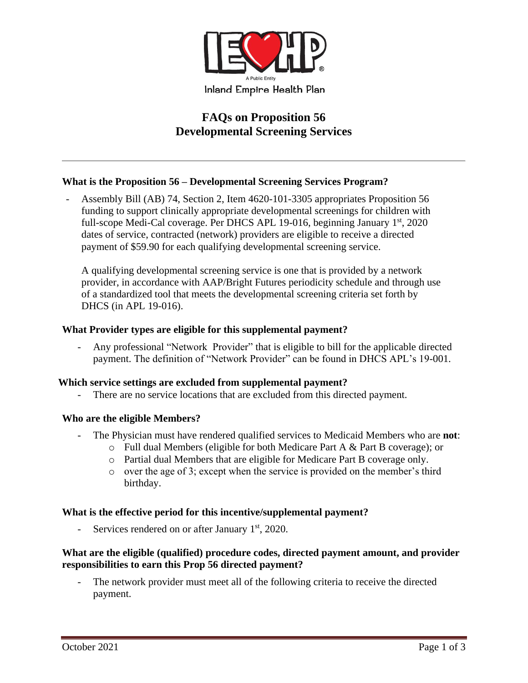

# **FAQs on Proposition 56 Developmental Screening Services**

# **What is the Proposition 56 – Developmental Screening Services Program?**

Assembly Bill (AB) 74, Section 2, Item 4620-101-3305 appropriates Proposition 56 funding to support clinically appropriate developmental screenings for children with full-scope Medi-Cal coverage. Per DHCS APL 19-016, beginning January 1<sup>st</sup>, 2020 dates of service, contracted (network) providers are eligible to receive a directed payment of \$59.90 for each qualifying developmental screening service.

A qualifying developmental screening service is one that is provided by a network provider, in accordance with AAP/Bright Futures periodicity schedule and through use of a standardized tool that meets the developmental screening criteria set forth by DHCS (in APL 19-016).

## **What Provider types are eligible for this supplemental payment?**

- Any professional "Network Provider" that is eligible to bill for the applicable directed payment. The definition of "Network Provider" can be found in DHCS APL's 19-001.

#### **Which service settings are excluded from supplemental payment?**

There are no service locations that are excluded from this directed payment.

#### **Who are the eligible Members?**

- The Physician must have rendered qualified services to Medicaid Members who are **not**:
	- o Full dual Members (eligible for both Medicare Part A & Part B coverage); or
	- o Partial dual Members that are eligible for Medicare Part B coverage only.
	- o over the age of 3; except when the service is provided on the member's third birthday.

#### **What is the effective period for this incentive/supplemental payment?**

- Services rendered on or after January  $1<sup>st</sup>$ , 2020.

## **What are the eligible (qualified) procedure codes, directed payment amount, and provider responsibilities to earn this Prop 56 directed payment?**

The network provider must meet all of the following criteria to receive the directed payment.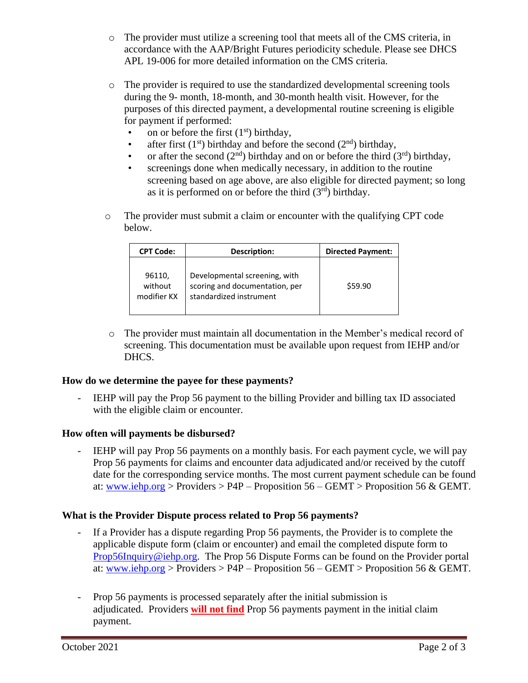- o The provider must utilize a screening tool that meets all of the CMS criteria, in accordance with the AAP/Bright Futures periodicity schedule. Please see DHCS APL 19-006 for more detailed information on the CMS criteria.
- o The provider is required to use the standardized developmental screening tools during the 9- month, 18-month, and 30-month health visit. However, for the purposes of this directed payment, a developmental routine screening is eligible for payment if performed:
	- on or before the first  $(1<sup>st</sup>)$  birthday,
	- after first  $(1^{st})$  birthday and before the second  $(2^{nd})$  birthday,
	- or after the second  $(2<sup>nd</sup>)$  birthday and on or before the third  $(3<sup>rd</sup>)$  birthday,
	- screenings done when medically necessary, in addition to the routine screening based on age above, are also eligible for directed payment; so long as it is performed on or before the third  $(3<sup>rd</sup>)$  birthday.
- $\circ$  The provider must submit a claim or encounter with the qualifying CPT code below.

| <b>CPT Code:</b>                 | Description:                                                                               | <b>Directed Payment:</b> |
|----------------------------------|--------------------------------------------------------------------------------------------|--------------------------|
| 96110,<br>without<br>modifier KX | Developmental screening, with<br>scoring and documentation, per<br>standardized instrument | \$59.90                  |

o The provider must maintain all documentation in the Member's medical record of screening. This documentation must be available upon request from IEHP and/or DHCS.

# **How do we determine the payee for these payments?**

- IEHP will pay the Prop 56 payment to the billing Provider and billing tax ID associated with the eligible claim or encounter.

# **How often will payments be disbursed?**

IEHP will pay Prop 56 payments on a monthly basis. For each payment cycle, we will pay Prop 56 payments for claims and encounter data adjudicated and/or received by the cutoff date for the corresponding service months. The most current payment schedule can be found at: [www.iehp.org](http://www.iehp.org/) > Providers >  $P4P -$  Proposition 56 – GEMT > Proposition 56 & GEMT.

# **What is the Provider Dispute process related to Prop 56 payments?**

- If a Provider has a dispute regarding Prop 56 payments, the Provider is to complete the applicable dispute form (claim or encounter) and email the completed dispute form to [Prop56Inquiry@iehp.org.](mailto:Prop56Inquiry@iehp.org) The Prop 56 Dispute Forms can be found on the Provider portal at: [www.iehp.org](http://www.iehp.org/) > Providers >  $P4P -$  Proposition 56 – GEMT > Proposition 56 & GEMT.
- Prop 56 payments is processed separately after the initial submission is adjudicated. Providers **will not find** Prop 56 payments payment in the initial claim payment.